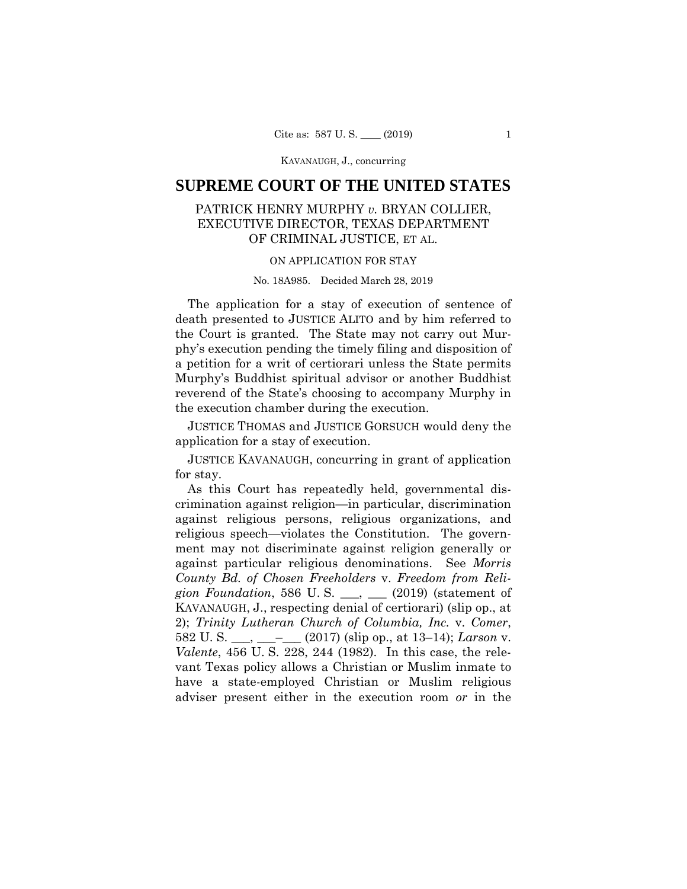KAVANAUGH, J., concurring

# **SUPREME COURT OF THE UNITED STATES**

# PATRICK HENRY MURPHY *v.* BRYAN COLLIER, EXECUTIVE DIRECTOR, TEXAS DEPARTMENT OF CRIMINAL JUSTICE, ET AL.

## ON APPLICATION FOR STAY

#### No. 18A985. Decided March 28, 2019

The application for a stay of execution of sentence of death presented to JUSTICE ALITO and by him referred to the Court is granted. The State may not carry out Murphy's execution pending the timely filing and disposition of a petition for a writ of certiorari unless the State permits Murphy's Buddhist spiritual advisor or another Buddhist reverend of the State's choosing to accompany Murphy in the execution chamber during the execution.

JUSTICE THOMAS and JUSTICE GORSUCH would deny the application for a stay of execution.

JUSTICE KAVANAUGH, concurring in grant of application for stay.

 KAVANAUGH, J., respecting denial of certiorari) (slip op., at As this Court has repeatedly held, governmental discrimination against religion—in particular, discrimination against religious persons, religious organizations, and religious speech—violates the Constitution. The government may not discriminate against religion generally or against particular religious denominations. See *Morris County Bd. of Chosen Freeholders* v. *Freedom from Religion Foundation*, 586 U. S. \_\_\_, \_\_\_ (2019) (statement of 2); *Trinity Lutheran Church of Columbia, Inc.* v. *Comer*, 582 U. S. \_\_\_, \_\_\_–\_\_\_ (2017) (slip op., at 13–14); *Larson* v. *Valente*, 456 U. S. 228, 244 (1982). In this case, the relevant Texas policy allows a Christian or Muslim inmate to have a state-employed Christian or Muslim religious adviser present either in the execution room *or* in the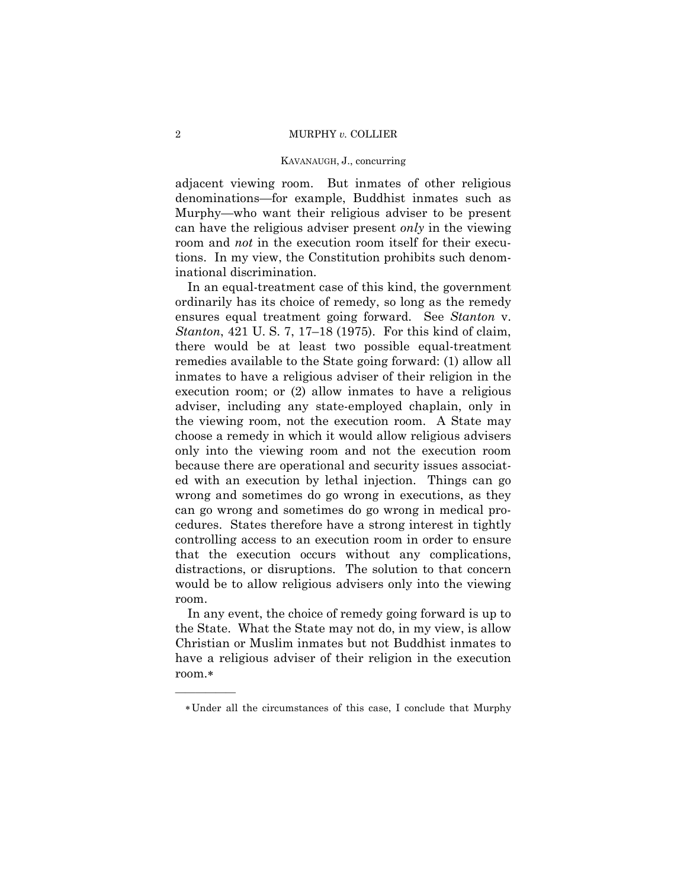### 2 MURPHY *v.* COLLIER

#### KAVANAUGH, J., concurring

adjacent viewing room. But inmates of other religious denominations—for example, Buddhist inmates such as Murphy—who want their religious adviser to be present can have the religious adviser present *only* in the viewing room and *not* in the execution room itself for their executions. In my view, the Constitution prohibits such denominational discrimination.

 the viewing room, not the execution room. A State may In an equal-treatment case of this kind, the government ordinarily has its choice of remedy, so long as the remedy ensures equal treatment going forward. See *Stanton* v. *Stanton*, 421 U. S. 7, 17–18 (1975). For this kind of claim, there would be at least two possible equal-treatment remedies available to the State going forward: (1) allow all inmates to have a religious adviser of their religion in the execution room; or (2) allow inmates to have a religious adviser, including any state-employed chaplain, only in choose a remedy in which it would allow religious advisers only into the viewing room and not the execution room because there are operational and security issues associated with an execution by lethal injection. Things can go wrong and sometimes do go wrong in executions, as they can go wrong and sometimes do go wrong in medical procedures. States therefore have a strong interest in tightly controlling access to an execution room in order to ensure that the execution occurs without any complications, distractions, or disruptions. The solution to that concern would be to allow religious advisers only into the viewing room.

In any event, the choice of remedy going forward is up to the State. What the State may not do, in my view, is allow Christian or Muslim inmates but not Buddhist inmates to have a religious adviser of their religion in the execution room.

——————

Under all the circumstances of this case, I conclude that Murphy